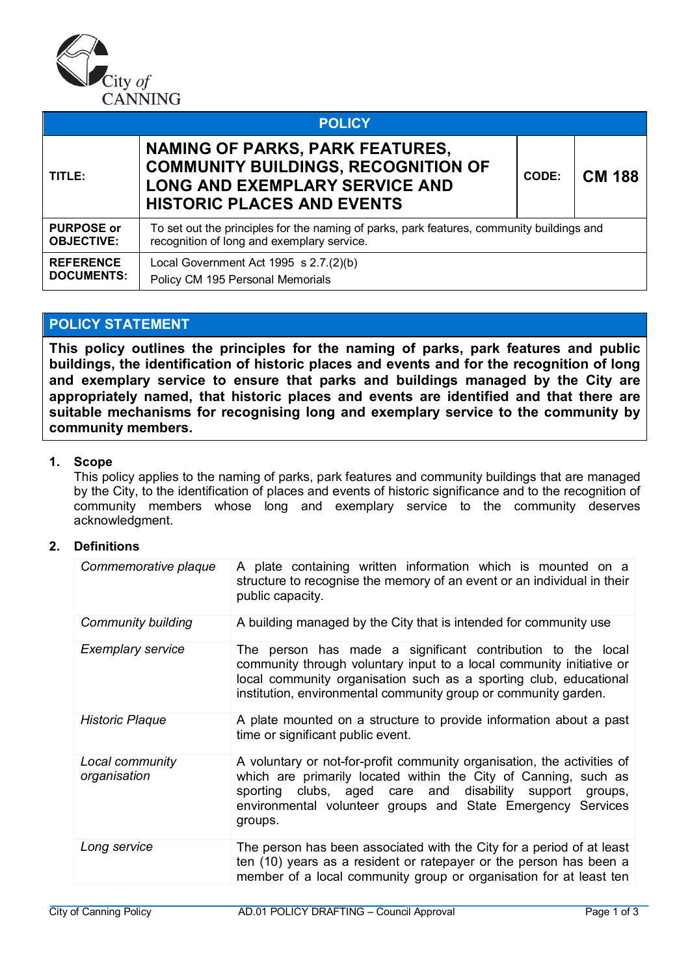

|                                        | <b>POLICY</b>                                                                                                                                                      |       |               |
|----------------------------------------|--------------------------------------------------------------------------------------------------------------------------------------------------------------------|-------|---------------|
| TITLE:                                 | <b>NAMING OF PARKS, PARK FEATURES,</b><br><b>COMMUNITY BUILDINGS, RECOGNITION OF</b><br><b>LONG AND EXEMPLARY SERVICE AND</b><br><b>HISTORIC PLACES AND EVENTS</b> | CODE: | <b>CM 188</b> |
| <b>PURPOSE or</b><br><b>OBJECTIVE:</b> | To set out the principles for the naming of parks, park features, community buildings and<br>recognition of long and exemplary service.                            |       |               |
| <b>REFERENCE</b><br><b>DOCUMENTS:</b>  | Local Government Act 1995 s 2.7.(2)(b)<br>Policy CM 195 Personal Memorials                                                                                         |       |               |

# **POLICY STATEMENT**

**This policy outlines the principles for the naming of parks, park features and public buildings, the identification of historic places and events and for the recognition of long and exemplary service to ensure that parks and buildings managed by the City are appropriately named, that historic places and events are identified and that there are suitable mechanisms for recognising long and exemplary service to the community by community members.**

## **1. Scope**

This policy applies to the naming of parks, park features and community buildings that are managed by the City, to the identification of places and events of historic significance and to the recognition of community members whose long and exemplary service to the community deserves acknowledgment.

## **2. Definitions**

| Commemorative plaque            | A plate containing written information which is mounted on a<br>structure to recognise the memory of an event or an individual in their<br>public capacity.                                                                                                                      |
|---------------------------------|----------------------------------------------------------------------------------------------------------------------------------------------------------------------------------------------------------------------------------------------------------------------------------|
| <b>Community building</b>       | A building managed by the City that is intended for community use                                                                                                                                                                                                                |
| <b>Exemplary service</b>        | The person has made a significant contribution to the local<br>community through voluntary input to a local community initiative or<br>local community organisation such as a sporting club, educational<br>institution, environmental community group or community garden.      |
| <b>Historic Plaque</b>          | A plate mounted on a structure to provide information about a past<br>time or significant public event.                                                                                                                                                                          |
| Local community<br>organisation | A voluntary or not-for-profit community organisation, the activities of<br>which are primarily located within the City of Canning, such as<br>sporting clubs, aged care and disability support groups,<br>environmental volunteer groups and State Emergency Services<br>groups. |
| Long service                    | The person has been associated with the City for a period of at least<br>ten (10) years as a resident or ratepayer or the person has been a<br>member of a local community group or organisation for at least ten                                                                |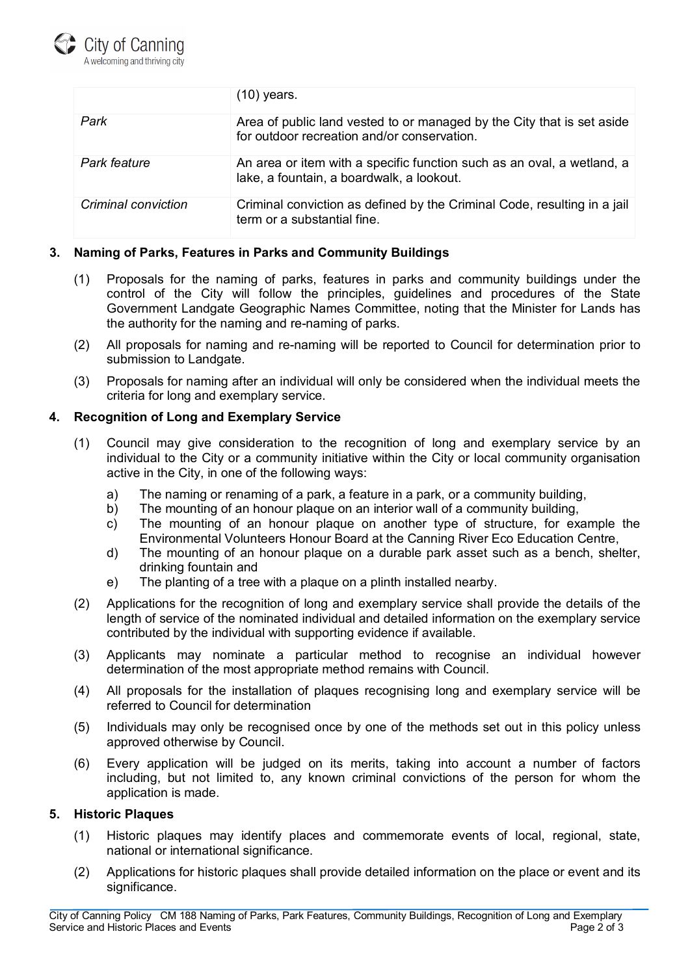

|                     | (10) years.                                                                                                           |
|---------------------|-----------------------------------------------------------------------------------------------------------------------|
| Park                | Area of public land vested to or managed by the City that is set aside<br>for outdoor recreation and/or conservation. |
| <b>Park feature</b> | An area or item with a specific function such as an oval, a wetland, a<br>lake, a fountain, a boardwalk, a lookout.   |
| Criminal conviction | Criminal conviction as defined by the Criminal Code, resulting in a jail<br>term or a substantial fine.               |

## **3. Naming of Parks, Features in Parks and Community Buildings**

- (1) Proposals for the naming of parks, features in parks and community buildings under the control of the City will follow the principles, guidelines and procedures of the State Government Landgate Geographic Names Committee, noting that the Minister for Lands has the authority for the naming and re-naming of parks.
- (2) All proposals for naming and re-naming will be reported to Council for determination prior to submission to Landgate.
- (3) Proposals for naming after an individual will only be considered when the individual meets the criteria for long and exemplary service.

## **4. Recognition of Long and Exemplary Service**

- (1) Council may give consideration to the recognition of long and exemplary service by an individual to the City or a community initiative within the City or local community organisation active in the City, in one of the following ways:
	- a) The naming or renaming of a park, a feature in a park, or a community building,<br>b) The mounting of an honour plague on an interior wall of a community building,
	- The mounting of an honour plaque on an interior wall of a community building,
	- c) The mounting of an honour plaque on another type of structure, for example the Environmental Volunteers Honour Board at the Canning River Eco Education Centre,
	- d) The mounting of an honour plaque on a durable park asset such as a bench, shelter, drinking fountain and
	- e) The planting of a tree with a plaque on a plinth installed nearby.
- (2) Applications for the recognition of long and exemplary service shall provide the details of the length of service of the nominated individual and detailed information on the exemplary service contributed by the individual with supporting evidence if available.
- (3) Applicants may nominate a particular method to recognise an individual however determination of the most appropriate method remains with Council.
- (4) All proposals for the installation of plaques recognising long and exemplary service will be referred to Council for determination
- (5) Individuals may only be recognised once by one of the methods set out in this policy unless approved otherwise by Council.
- (6) Every application will be judged on its merits, taking into account a number of factors including, but not limited to, any known criminal convictions of the person for whom the application is made.

## **5. Historic Plaques**

- (1) Historic plaques may identify places and commemorate events of local, regional, state, national or international significance.
- (2) Applications for historic plaques shall provide detailed information on the place or event and its significance.